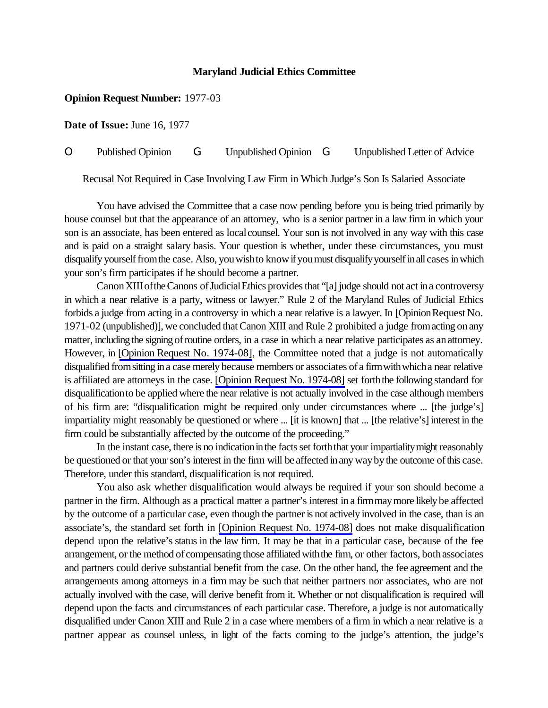## **Maryland Judicial Ethics Committee**

## **Opinion Request Number:** 1977-03

**Date of Issue:** June 16, 1977

O Published Opinion G Unpublished Opinion G Unpublished Letter of Advice

Recusal Not Required in Case Involving Law Firm in Which Judge's Son Is Salaried Associate

You have advised the Committee that a case now pending before you is being tried primarily by house counsel but that the appearance of an attorney, who is a senior partner in a law firm in which your son is an associate, has been entered as localcounsel. Your son is not involved in any way with this case and is paid on a straight salary basis. Your question is whether, under these circumstances, you must disqualify yourself from the case. Also, you wish to know if you must disqualify yourself in all cases in which your son's firm participates if he should become a partner.

CanonXIIIoftheCanons ofJudicialEthics providesthat "[a]judge should not act ina controversy in which a near relative is a party, witness or lawyer." Rule 2 of the Maryland Rules of Judicial Ethics forbids a judge from acting in a controversy in which a near relative is a lawyer. In [Opinion Request No. 1971-02 (unpublished)], we concluded thatCanon XIII and Rule 2 prohibited a judge fromacting onany matter, including the signing of routine orders, in a case in which a near relative participates as an attorney. However, in [Opinion Request No. [1974-08\]](http://www.mdcourts.gov/ethics/pdfs/1974-08.pdf), the Committee noted that a judge is not automatically disqualified from sitting in a case merely because members or associates of a firm with which a near relative is affiliated are attorneys in the case. [\[Opinion Request No. 1974-08\]](http://www.mdcourts.gov/ethics/pdfs/1974-08.pdf) set forththe following standard for disqualificationto be applied where the near relative is not actually involved in the case although members of his firm are: "disqualification might be required only under circumstances where ... [the judge's] impartiality might reasonably be questioned or where ... [it is known] that ... [the relative's] interest in the firm could be substantially affected by the outcome of the proceeding."

In the instant case, there is no indication in the facts set forth that your impartiality might reasonably be questioned or that your son's interest in the firm will be affected in any way by the outcome of this case. Therefore, under this standard, disqualification is not required.

You also ask whether disqualification would always be required if your son should become a partner in the firm. Although as a practical matter a partner's interest in a firmmaymore likely be affected by the outcome of a particular case, even though the partner is not actively involved in the case, than is an associate's, the standard set forth in [\[Opinion Request No. 1974-08\]](http://www.mdcourts.gov/ethics/pdfs/1974-08.pdf) does not make disqualification depend upon the relative's status in the law firm. It may be that in a particular case, because of the fee arrangement, or the method of compensating those affiliated with the firm, or other factors, both associates and partners could derive substantial benefit from the case. On the other hand, the fee agreement and the arrangements among attorneys in a firm may be such that neither partners nor associates, who are not actually involved with the case, will derive benefit from it. Whether or not disqualification is required will depend upon the facts and circumstances of each particular case. Therefore, a judge is not automatically disqualified under Canon XIII and Rule 2 in a case where members of a firm in which a near relative is a partner appear as counsel unless, in light of the facts coming to the judge's attention, the judge's